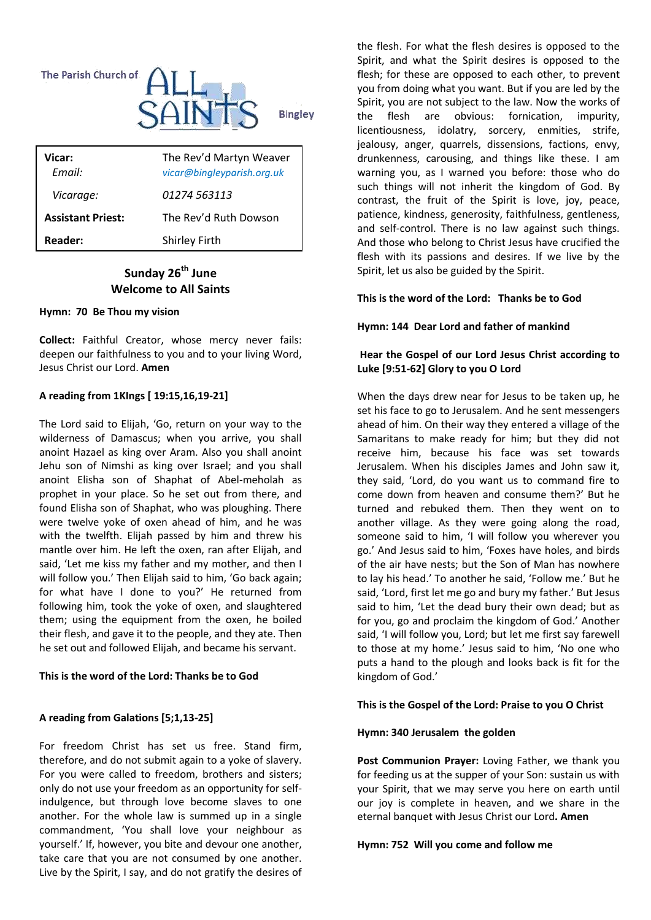

| Vicar:<br>Email:         | The Rev'd Martyn Weaver<br>vicar@bingleyparish.org.uk |
|--------------------------|-------------------------------------------------------|
| Vicarage:                | 01274 563113                                          |
| <b>Assistant Priest:</b> | The Rev'd Ruth Dowson                                 |
| Reader:                  | <b>Shirley Firth</b>                                  |

## **Sunday 26th June Welcome to All Saints**

## **Hymn: 70 Be Thou my vision**

**Collect:** Faithful Creator, whose mercy never fails: deepen our faithfulness to you and to your living Word, Jesus Christ our Lord. **Amen** 

## **A reading from 1KIngs [ 19:15,16,19-21]**

The Lord said to Elijah, 'Go, return on your way to the wilderness of Damascus; when you arrive, you shall anoint Hazael as king over Aram. Also you shall anoint Jehu son of Nimshi as king over Israel; and you shall anoint Elisha son of Shaphat of Abel-meholah as prophet in your place. So he set out from there, and found Elisha son of Shaphat, who was ploughing. There were twelve yoke of oxen ahead of him, and he was with the twelfth. Elijah passed by him and threw his mantle over him. He left the oxen, ran after Elijah, and said, 'Let me kiss my father and my mother, and then I will follow you.' Then Elijah said to him, 'Go back again; for what have I done to you?' He returned from following him, took the yoke of oxen, and slaughtered them; using the equipment from the oxen, he boiled their flesh, and gave it to the people, and they ate. Then he set out and followed Elijah, and became his servant.

## **This is the word of the Lord: Thanks be to God**

## **A reading from Galations [5;1,13-25]**

For freedom Christ has set us free. Stand firm, therefore, and do not submit again to a yoke of slavery. For you were called to freedom, brothers and sisters; only do not use your freedom as an opportunity for selfindulgence, but through love become slaves to one another. For the whole law is summed up in a single commandment, 'You shall love your neighbour as yourself.' If, however, you bite and devour one another, take care that you are not consumed by one another. Live by the Spirit, I say, and do not gratify the desires of the flesh. For what the flesh desires is opposed to the Spirit, and what the Spirit desires is opposed to the flesh; for these are opposed to each other, to prevent you from doing what you want. But if you are led by the Spirit, you are not subject to the law. Now the works of the flesh are obvious: fornication, impurity, licentiousness, idolatry, sorcery, enmities, strife, jealousy, anger, quarrels, dissensions, factions, envy, drunkenness, carousing, and things like these. I am warning you, as I warned you before: those who do such things will not inherit the kingdom of God. By contrast, the fruit of the Spirit is love, joy, peace, patience, kindness, generosity, faithfulness, gentleness, and self-control. There is no law against such things. And those who belong to Christ Jesus have crucified the flesh with its passions and desires. If we live by the Spirit, let us also be guided by the Spirit.

## **This is the word of the Lord: Thanks be to God**

## **Hymn: 144 Dear Lord and father of mankind**

## **Hear the Gospel of our Lord Jesus Christ according to Luke [9:51-62] Glory to you O Lord**

When the days drew near for Jesus to be taken up, he set his face to go to Jerusalem. And he sent messengers ahead of him. On their way they entered a village of the Samaritans to make ready for him; but they did not receive him, because his face was set towards Jerusalem. When his disciples James and John saw it, they said, 'Lord, do you want us to command fire to come down from heaven and consume them?' But he turned and rebuked them. Then they went on to another village. As they were going along the road, someone said to him, 'I will follow you wherever you go.' And Jesus said to him, 'Foxes have holes, and birds of the air have nests; but the Son of Man has nowhere to lay his head.' To another he said, 'Follow me.' But he said, 'Lord, first let me go and bury my father.' But Jesus said to him, 'Let the dead bury their own dead; but as for you, go and proclaim the kingdom of God.' Another said, 'I will follow you, Lord; but let me first say farewell to those at my home.' Jesus said to him, 'No one who puts a hand to the plough and looks back is fit for the kingdom of God.'

## **This is the Gospel of the Lord: Praise to you O Christ**

## **Hymn: 340 Jerusalem the golden**

**Post Communion Prayer:** Loving Father, we thank you for feeding us at the supper of your Son: sustain us with your Spirit, that we may serve you here on earth until our joy is complete in heaven, and we share in the eternal banquet with Jesus Christ our Lord**. Amen** 

## **Hymn: 752 Will you come and follow me**